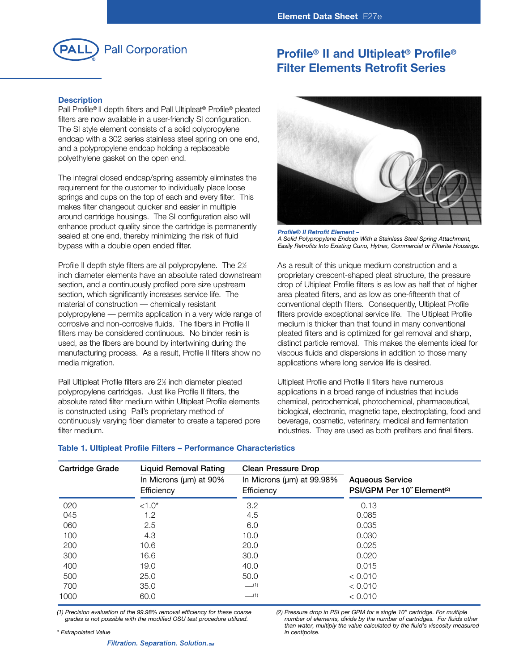

# **Profile® II and Ultipleat® Profile® Filter Elements Retrofit Series**

## **Description**

Pall Profile® II depth filters and Pall Ultipleat® Profile® pleated filters are now available in a user-friendly SI configuration. The SI style element consists of a solid polypropylene endcap with a 302 series stainless steel spring on one end, and a polypropylene endcap holding a replaceable polyethylene gasket on the open end.

The integral closed endcap/spring assembly eliminates the requirement for the customer to individually place loose springs and cups on the top of each and every filter. This makes filter changeout quicker and easier in multiple around cartridge housings. The SI configuration also will enhance product quality since the cartridge is permanently sealed at one end, thereby minimizing the risk of fluid bypass with a double open ended filter.

Profile II depth style filters are all polypropylene. The 2½ inch diameter elements have an absolute rated downstream section, and a continuously profiled pore size upstream section, which significantly increases service life. The material of construction — chemically resistant polypropylene — permits application in a very wide range of corrosive and non-corrosive fluids. The fibers in Profile II filters may be considered continuous. No binder resin is used, as the fibers are bound by intertwining during the manufacturing process. As a result, Profile II filters show no media migration.

Pall Ultipleat Profile filters are 2½ inch diameter pleated polypropylene cartridges. Just like Profile II filters, the absolute rated filter medium within Ultipleat Profile elements is constructed using Pall's proprietary method of continuously varying fiber diameter to create a tapered pore filter medium.



*Profile® II Retrofit Element – A Solid Polypropylene Endcap With a Stainless Steel Spring Attachment, Easily Retrofits Into Existing Cuno, Hytrex, Commercial or Filterite Housings.*

As a result of this unique medium construction and a proprietary crescent-shaped pleat structure, the pressure drop of Ultipleat Profile filters is as low as half that of higher area pleated filters, and as low as one-fifteenth that of conventional depth filters. Consequently, Ultipleat Profile filters provide exceptional service life. The Ultipleat Profile medium is thicker than that found in many conventional pleated filters and is optimized for gel removal and sharp, distinct particle removal. This makes the elements ideal for viscous fluids and dispersions in addition to those many applications where long service life is desired.

Ultipleat Profile and Profile II filters have numerous applications in a broad range of industries that include chemical, petrochemical, photochemical, pharmaceutical, biological, electronic, magnetic tape, electroplating, food and beverage, cosmetic, veterinary, medical and fermentation industries. They are used as both prefilters and final filters.

| <b>Cartridge Grade</b> | <b>Liquid Removal Rating</b> | <b>Clean Pressure Drop</b>      |                                        |  |
|------------------------|------------------------------|---------------------------------|----------------------------------------|--|
|                        | In Microns ( $\mu$ m) at 90% | In Microns ( $\mu$ m) at 99.98% | <b>Aqueous Service</b>                 |  |
|                        | Efficiency                   | Efficiency                      | PSI/GPM Per 10" Element <sup>(2)</sup> |  |
| 020                    | $<1.0*$                      | 3.2                             | 0.13                                   |  |
| 045                    | 1.2                          | 4.5                             | 0.085                                  |  |
| 060                    | 2.5                          | 6.0                             | 0.035                                  |  |
| 100                    | 4.3                          | 10.0                            | 0.030                                  |  |
| 200                    | 10.6                         | 20.0                            | 0.025                                  |  |
| 300                    | 16.6                         | 30.0                            | 0.020                                  |  |
| 400                    | 19.0                         | 40.0                            | 0.015                                  |  |
| 500                    | 25.0                         | 50.0                            | < 0.010                                |  |
| 700                    | 35.0                         | $-$ (1)                         | < 0.010                                |  |
| 1000                   | 60.0                         | $-$ (1)                         | < 0.010                                |  |

### **Table 1. Ultipleat Profile Filters – Performance Characteristics**

*(1) Precision evaluation of the 99.98% removal efficiency for these coarse grades is not possible with the modified OSU test procedure utilized.*

*(2) Pressure drop in PSI per GPM for a single 10" cartridge. For multiple number of elements, divide by the number of cartridges. For fluids other than water, multiply the value calculated by the fluid's viscosity measured in centipoise.*